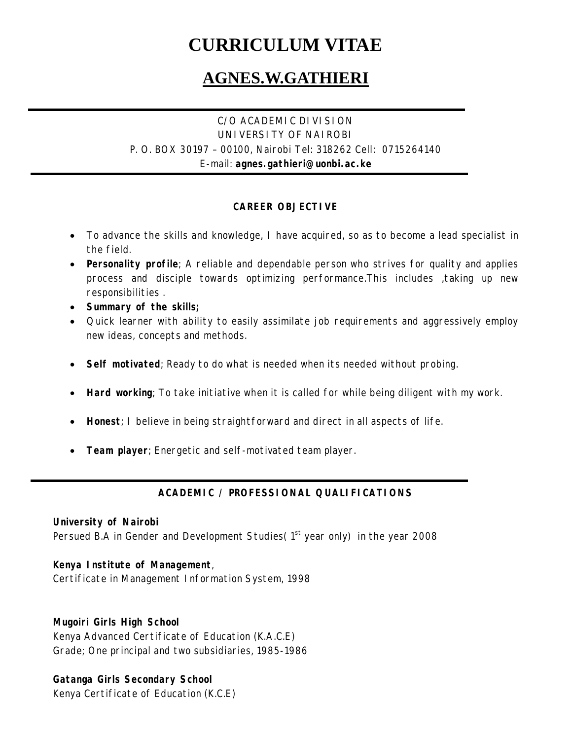# **CURRICULUM VITAE**

## **AGNES.W.GATHIERI**

## C/O ACADEMIC DIVISION UNIVERSITY OF NAIROBI P. O. BOX 30197 – 00100, Nairobi Tel: 318262 Cell: 0715264140 E-mail: **agnes.gathieri@uonbi.ac.ke**

## **CAREER OBJECTIVE**

- To advance the skills and knowledge, I have acquired, so as to become a lead specialist in the field.
- **Personality profile**; A reliable and dependable person who strives for quality and applies process and disciple towards optimizing performance.This includes ,taking up new responsibilities .
- **Summary of the skills;**
- Quick learner with ability to easily assimilate job requirements and aggressively employ new ideas, concepts and methods.
- **Self motivated**; Ready to do what is needed when its needed without probing.
- **Hard working**; To take initiative when it is called for while being diligent with my work.
- **Honest**; I believe in being straightforward and direct in all aspects of life.
- **Team player**; Energetic and self-motivated team player.

## **ACADEMIC / PROFESSIONAL QUALIFICATIONS**

#### **University of Nairobi**

Persued B.A in Gender and Development Studies  $(1<sup>st</sup>$  year only) in the year 2008

#### **Kenya Institute of Management**,

Certificate in Management Information System, 1998

#### **Mugoiri Girls High School**

Kenya Advanced Certificate of Education (K.A.C.E) Grade; One principal and two subsidiaries, 1985-1986

## **Gatanga Girls Secondary School**

Kenya Certificate of Education (K.C.E)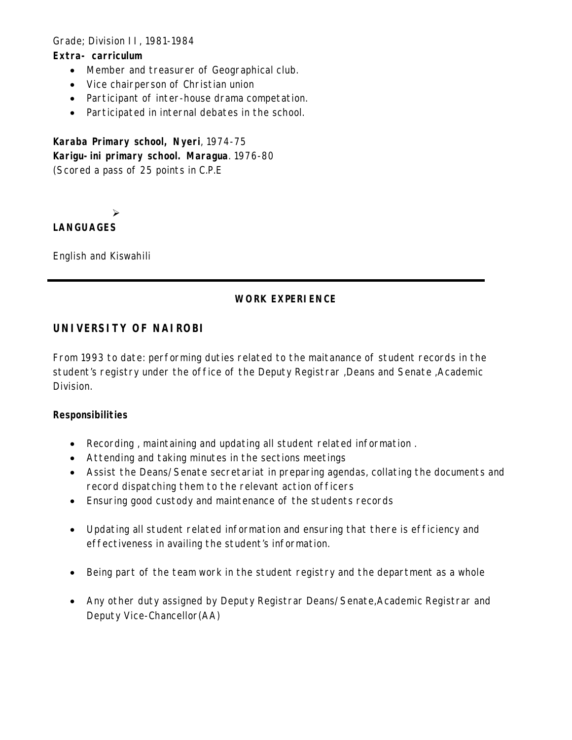#### Grade; Division II, 1981-1984

#### **Extra- carriculum**

- Member and treasurer of Geographical club.
- Vice chairperson of Christian union
- Participant of inter-house drama competation.
- Participated in internal debates in the school.

**Karaba Primary school, Nyeri**, 1974-75 **Karigu-ini primary school. Maragua**. 1976-80 (Scored a pass of 25 points in C.P.E

 $\blacktriangleright$ 

#### **LANGUAGES**

English and Kiswahili

#### **WORK EXPERIENCE**

## **UNIVERSITY OF NAIROBI**

From 1993 to date: performing duties related to the maitanance of student records in the student's registry under the office of the Deputy Registrar ,Deans and Senate ,Academic Division.

#### **Responsibilities**

- Recording , maintaining and updating all student related information .
- Attending and taking minutes in the sections meetings
- Assist the Deans/Senate secretariat in preparing agendas, collating the documents and record dispatching them to the relevant action officers
- Ensuring good custody and maintenance of the students records
- Updating all student related information and ensuring that there is efficiency and effectiveness in availing the student's information.
- Being part of the team work in the student registry and the department as a whole
- Any other duty assigned by Deputy Registrar Deans/Senate,Academic Registrar and Deputy Vice-Chancellor(AA)